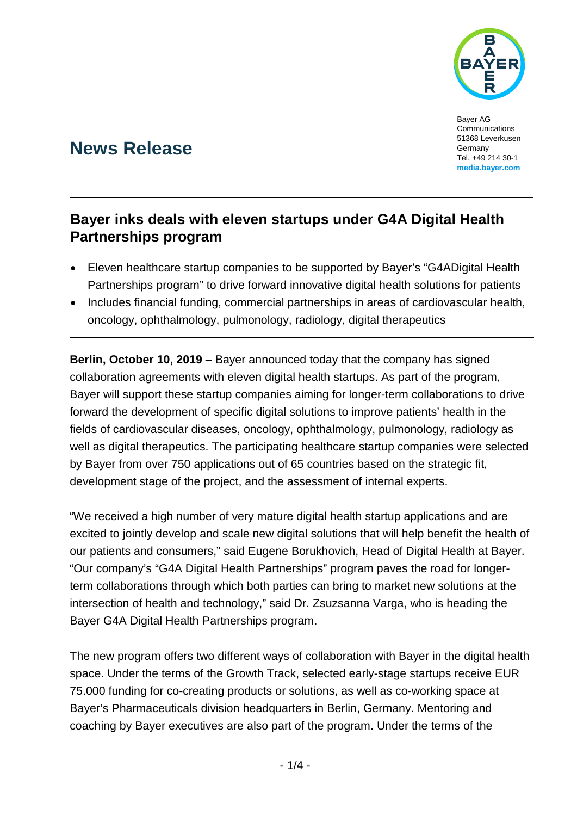

Bayer AG Communications 51368 Leverkusen Germany Tel. +49 214 30-1 **media.bayer.com**

# **News Release**

## **Bayer inks deals with eleven startups under G4A Digital Health Partnerships program**

- Eleven healthcare startup companies to be supported by Bayer's "G4ADigital Health Partnerships program" to drive forward innovative digital health solutions for patients
- Includes financial funding, commercial partnerships in areas of cardiovascular health, oncology, ophthalmology, pulmonology, radiology, digital therapeutics

**Berlin, October 10, 2019** – Bayer announced today that the company has signed collaboration agreements with eleven digital health startups. As part of the program, Bayer will support these startup companies aiming for longer-term collaborations to drive forward the development of specific digital solutions to improve patients' health in the fields of cardiovascular diseases, oncology, ophthalmology, pulmonology, radiology as well as digital therapeutics. The participating healthcare startup companies were selected by Bayer from over 750 applications out of 65 countries based on the strategic fit, development stage of the project, and the assessment of internal experts.

"We received a high number of very mature digital health startup applications and are excited to jointly develop and scale new digital solutions that will help benefit the health of our patients and consumers," said Eugene Borukhovich, Head of Digital Health at Bayer. "Our company's "G4A Digital Health Partnerships" program paves the road for longerterm collaborations through which both parties can bring to market new solutions at the intersection of health and technology," said Dr. Zsuzsanna Varga, who is heading the Bayer G4A Digital Health Partnerships program.

The new program offers two different ways of collaboration with Bayer in the digital health space. Under the terms of the Growth Track, selected early-stage startups receive EUR 75.000 funding for co-creating products or solutions, as well as co-working space at Bayer's Pharmaceuticals division headquarters in Berlin, Germany. Mentoring and coaching by Bayer executives are also part of the program. Under the terms of the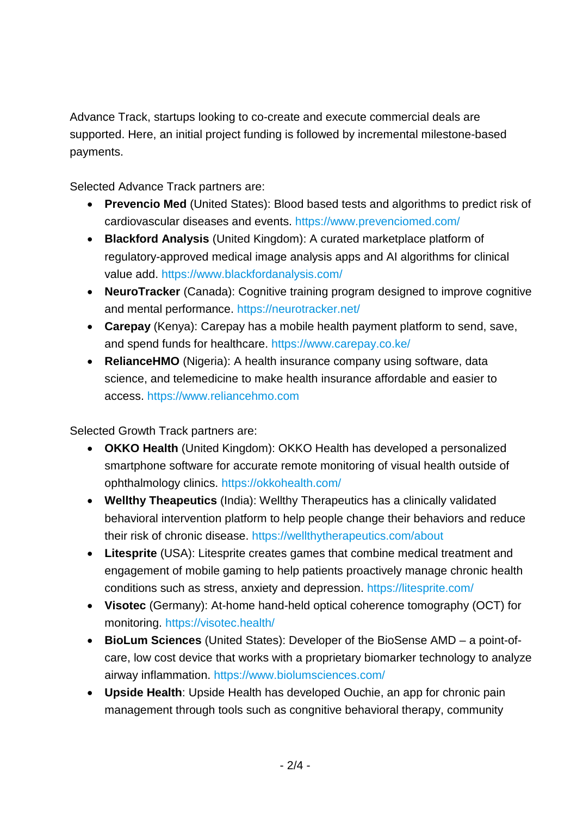Advance Track, startups looking to co-create and execute commercial deals are supported. Here, an initial project funding is followed by incremental milestone-based payments.

Selected Advance Track partners are:

- **Prevencio Med** (United States): Blood based tests and algorithms to predict risk of cardiovascular diseases and events.<https://www.prevenciomed.com/>
- **Blackford Analysis** (United Kingdom): A curated marketplace platform of regulatory-approved medical image analysis apps and AI algorithms for clinical value add.<https://www.blackfordanalysis.com/>
- **NeuroTracker** (Canada): Cognitive training program designed to improve cognitive and mental performance.<https://neurotracker.net/>
- **Carepay** (Kenya): Carepay has a mobile health payment platform to send, save, and spend funds for healthcare.<https://www.carepay.co.ke/>
- **RelianceHMO** (Nigeria): A health insurance company using software, data science, and telemedicine to make health insurance affordable and easier to access. [https://www.reliancehmo.com](https://www.reliancehmo.com/)

Selected Growth Track partners are:

- **OKKO Health** (United Kingdom): OKKO Health has developed a personalized smartphone software for accurate remote monitoring of visual health outside of ophthalmology clinics.<https://okkohealth.com/>
- **Wellthy Theapeutics** (India): Wellthy Therapeutics has a clinically validated behavioral intervention platform to help people change their behaviors and reduce their risk of chronic disease.<https://wellthytherapeutics.com/about>
- **Litesprite** (USA): Litesprite creates games that combine medical treatment and engagement of mobile gaming to help patients proactively manage chronic health conditions such as stress, anxiety and depression.<https://litesprite.com/>
- **Visotec** (Germany): At-home hand-held optical coherence tomography (OCT) for monitoring. <https://visotec.health/>
- **BioLum Sciences** (United States): Developer of the BioSense AMD a point-ofcare, low cost device that works with a proprietary biomarker technology to analyze airway inflammation.<https://www.biolumsciences.com/>
- **Upside Health**: Upside Health has developed Ouchie, an app for chronic pain management through tools such as congnitive behavioral therapy, community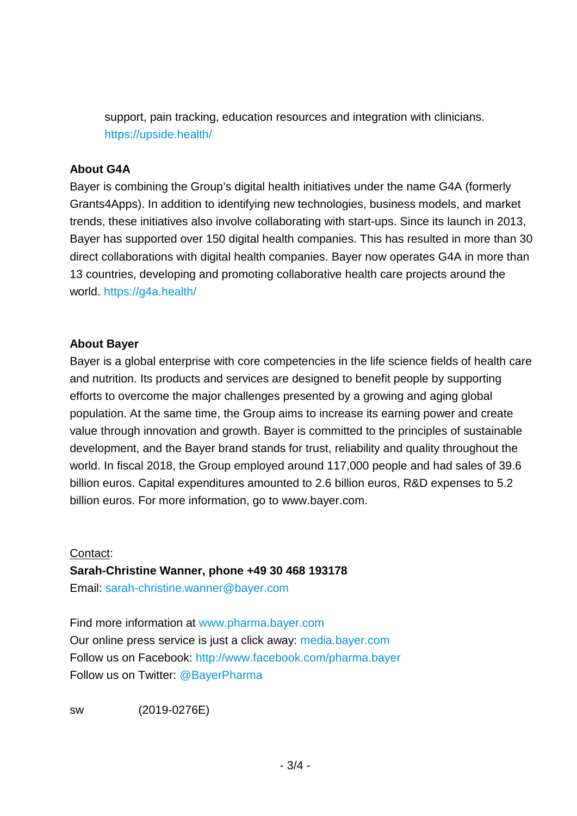support, pain tracking, education resources and integration with clinicians. <https://upside.health/>

#### **About G4A**

Bayer is combining the Group's digital health initiatives under the name G4A (formerly Grants4Apps). In addition to identifying new technologies, business models, and market trends, these initiatives also involve collaborating with start-ups. Since its launch in 2013, Bayer has supported over 150 digital health companies. This has resulted in more than 30 direct collaborations with digital health companies. Bayer now operates G4A in more than 13 countries, developing and promoting collaborative health care projects around the world.<https://g4a.health/>

#### **About Bayer**

Bayer is a global enterprise with core competencies in the life science fields of health care and nutrition. Its products and services are designed to benefit people by supporting efforts to overcome the major challenges presented by a growing and aging global population. At the same time, the Group aims to increase its earning power and create value through innovation and growth. Bayer is committed to the principles of sustainable development, and the Bayer brand stands for trust, reliability and quality throughout the world. In fiscal 2018, the Group employed around 117,000 people and had sales of 39.6 billion euros. Capital expenditures amounted to 2.6 billion euros, R&D expenses to 5.2 billion euros. For more information, go to [www.bayer.com.](http://www.bayer.com/)

#### Contact:

### **Sarah-Christine Wanner, phone +49 30 468 193178**

Email: [sarah-christine.wanner@bayer.com](mailto:sarah-christine.wanner@bayer.com)

Find more information at [www.pharma.bayer.com](http://www.pharma.bayer.com/) Our online press service is just a click away: [media.bayer.com](http://media.bayer.com/) Follow us on Facebook:<http://www.facebook.com/pharma.bayer> Follow us on Twitter: [@BayerPharma](https://twitter.com/bayerpharma)

sw (2019-0276E)